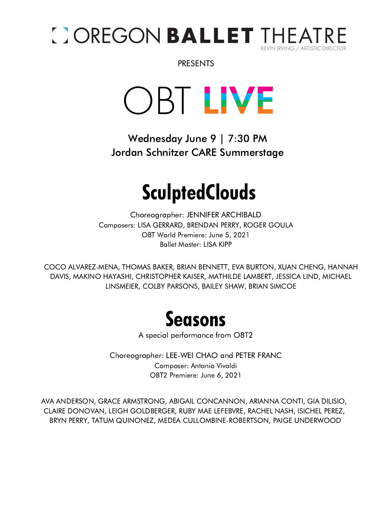

PRESENTS

OBT LIVE

Wednesday June 9 | 7:30 PM Jordan Schnitzer CARE Summerstage

# **SculptedClouds**

Choreographer: JENNIFER ARCHIBALD Composers: LISA GERRARD, BRENDAN PERRY, ROGER GOULA OBT World Premiere: June 5, 2021 Ballet Master: LISA KIPP

COCO ALVAREZ-MENA, THOMAS BAKER, BRIAN BENNETT, EVA BURTON, XUAN CHENG, HANNAH DAVIS, MAKINO HAYASHI, CHRISTOPHER KAISER, MATHILDE LAMBERT, JESSICA LIND, MICHAEL LINSMEIER, COLBY PARSONS, BAILEY SHAW, BRIAN SIMCOE



A special performance from OBT2

Choreographer: LEE-WEI CHAO and PETER FRANC Composer: Antonio Vivaldi OBT2 Premiere: June 6, 2021

AVA ANDERSON, GRACE ARMSTRONG, ABIGAIL CONCANNON, ARIANNA CONTI, GIA DILISIO, CLAIRE DONOVAN, LEIGH GOLDBERGER, RUBY MAE LEFEBVRE, RACHEL NASH, ISICHEL PEREZ, BRYN PERRY, TATUM QUINONEZ, MEDEA CULLOMBINE-ROBERTSON, PAIGE UNDERWOOD